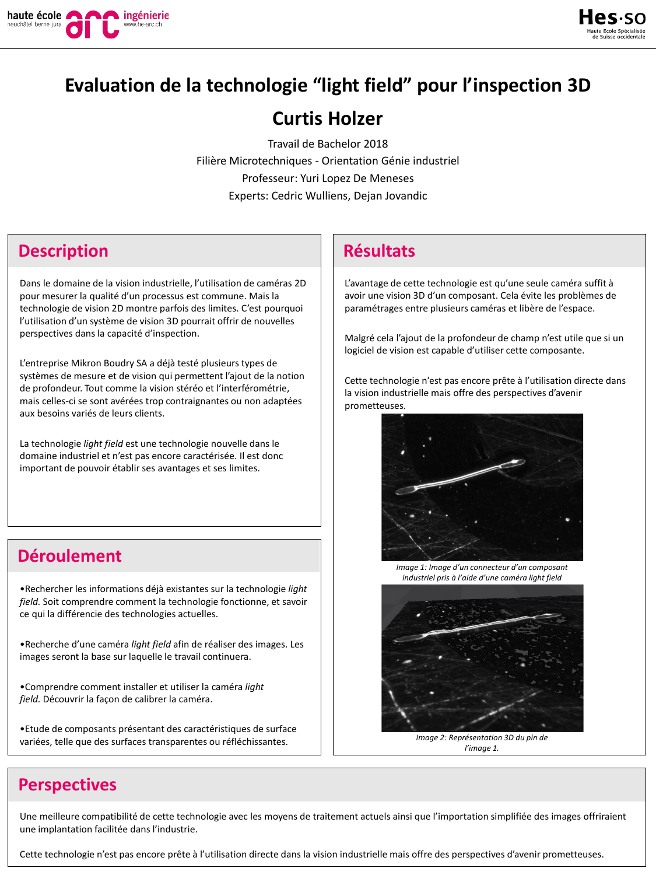

# **Evaluation de la technologie "light field" pour l'inspection 3D**

# **Curtis Holzer**

Travail de Bachelor 2018 Filière Microtechniques - Orientation Génie industriel Professeur: Yuri Lopez De Meneses Experts: Cedric Wulliens, Dejan Jovandic

### **Description Résultats**

Dans le domaine de la vision industrielle, l'utilisation de caméras 2D pour mesurer la qualité d'un processus est commune. Mais la technologie de vision 2D montre parfois des limites. C'est pourquoi l'utilisation d'un système de vision 3D pourrait offrir de nouvelles perspectives dans la capacité d'inspection.

L'entreprise Mikron Boudry SA a déjà testé plusieurs types de systèmes de mesure et de vision qui permettent l'ajout de la notion de profondeur. Tout comme la vision stéréo et l'interférométrie, mais celles-ci se sont avérées trop contraignantes ou non adaptées aux besoins variés de leurs clients.

La technologie *light field* est une technologie nouvelle dans le domaine industriel et n'est pas encore caractérisée. Il est donc important de pouvoir établir ses avantages et ses limites.

# **Déroulement**

•Rechercher les informations déjà existantes sur la technologie *light field.* Soit comprendre comment la technologie fonctionne, et savoir ce qui la différencie des technologies actuelles.

•Recherche d'une caméra *light field* afin de réaliser des images. Les images seront la base sur laquelle le travail continuera.

•Comprendre comment installer et utiliser la caméra *light field.* Découvrir la façon de calibrer la caméra.

•Etude de composants présentant des caractéristiques de surface variées, telle que des surfaces transparentes ou réfléchissantes.

L'avantage de cette technologie est qu'une seule caméra suffit à avoir une vision 3D d'un composant. Cela évite les problèmes de paramétrages entre plusieurs caméras et libère de l'espace.

Malgré cela l'ajout de la profondeur de champ n'est utile que si un logiciel de vision est capable d'utiliser cette composante.

Cette technologie n'est pas encore prête à l'utilisation directe dans la vision industrielle mais offre des perspectives d'avenir prometteuses.



*Image 1: Image d'un connecteur d'un composant industriel pris à l'aide d'une caméra light field*



*Image 2: Représentation 3D du pin de l'image 1.*

# **Perspectives**

Une meilleure compatibilité de cette technologie avec les moyens de traitement actuels ainsi que l'importation simplifiée des images offriraient une implantation facilitée dans l'industrie.

Cette technologie n'est pas encore prête à l'utilisation directe dans la vision industrielle mais offre des perspectives d'avenir prometteuses.